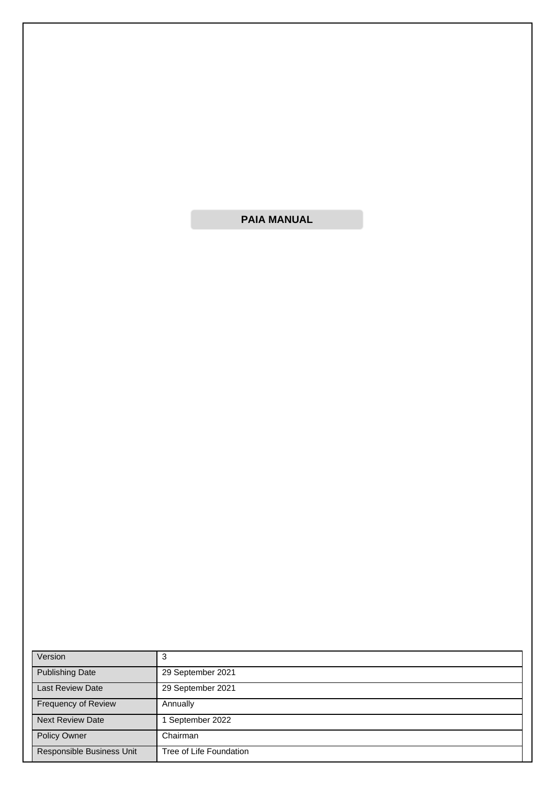**PAIA MANUAL**

| Version                   | 3                       |
|---------------------------|-------------------------|
| <b>Publishing Date</b>    | 29 September 2021       |
| <b>Last Review Date</b>   | 29 September 2021       |
| Frequency of Review       | Annually                |
| <b>Next Review Date</b>   | September 2022          |
| Policy Owner              | Chairman                |
| Responsible Business Unit | Tree of Life Foundation |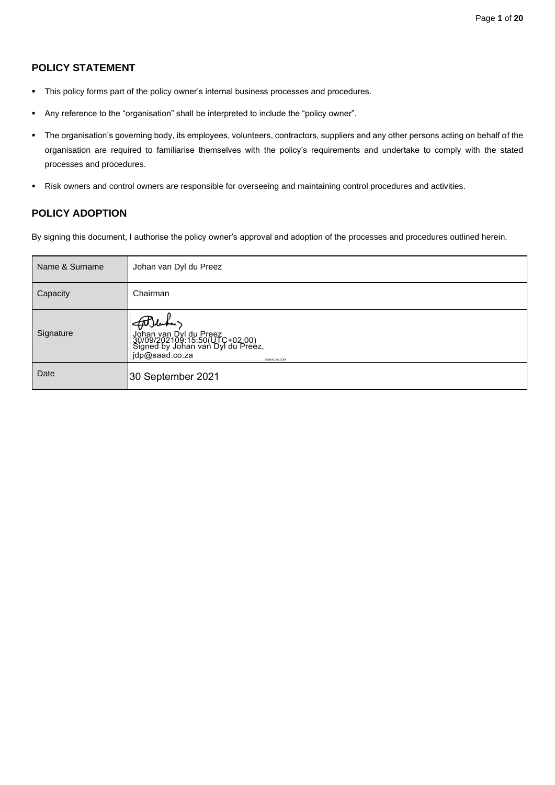# **POLICY STATEMENT**

- **•** This policy forms part of the policy owner's internal business processes and procedures.
- Any reference to the "organisation" shall be interpreted to include the "policy owner".
- The organisation's governing body, its employees, volunteers, contractors, suppliers and any other persons acting on behalf of the organisation are required to familiarise themselves with the policy's requirements and undertake to comply with the stated processes and procedures.
- Risk owners and control owners are responsible for overseeing and maintaining control procedures and activities.

# **POLICY ADOPTION**

By signing this document, I authorise the policy owner's approval and adoption of the processes and procedures outlined herein.

| Name & Surname | Johan van Dyl du Preez                                                                                                                      |
|----------------|---------------------------------------------------------------------------------------------------------------------------------------------|
| Capacity       | Chairman                                                                                                                                    |
| Signature      | AT duke.<br>Johan van Dyl du Preez<br>30/09/202109:15:50(UTC+02:00)<br>Signed by Johan van Dyl du Preez,<br>jdp@saad.co.za<br>SIGNIFLOW.COM |
| Date           | 30 September 2021                                                                                                                           |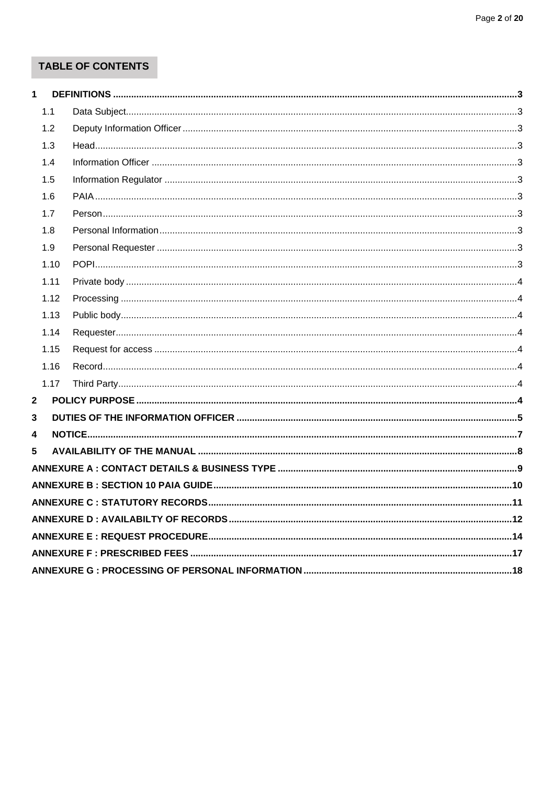# **TABLE OF CONTENTS**

| 1 |      |                                                                                |  |
|---|------|--------------------------------------------------------------------------------|--|
|   | 1.1  |                                                                                |  |
|   | 1.2  |                                                                                |  |
|   | 1.3  |                                                                                |  |
|   | 1.4  |                                                                                |  |
|   | 1.5  |                                                                                |  |
|   | 1.6  |                                                                                |  |
|   | 1.7  |                                                                                |  |
|   | 1.8  |                                                                                |  |
|   | 1.9  |                                                                                |  |
|   | 1.10 |                                                                                |  |
|   | 1.11 |                                                                                |  |
|   | 1.12 |                                                                                |  |
|   | 1.13 |                                                                                |  |
|   | 1.14 |                                                                                |  |
|   | 1.15 |                                                                                |  |
|   | 1.16 |                                                                                |  |
|   | 1.17 |                                                                                |  |
| 2 |      |                                                                                |  |
| 3 |      |                                                                                |  |
| 4 |      |                                                                                |  |
| 5 |      |                                                                                |  |
|   |      | ANNEXURE A:CONTACT DETAILS & BUSINESS TYPE …………………………………………………………………………………………9 |  |
|   |      |                                                                                |  |
|   |      |                                                                                |  |
|   |      |                                                                                |  |
|   |      |                                                                                |  |
|   |      |                                                                                |  |
|   |      |                                                                                |  |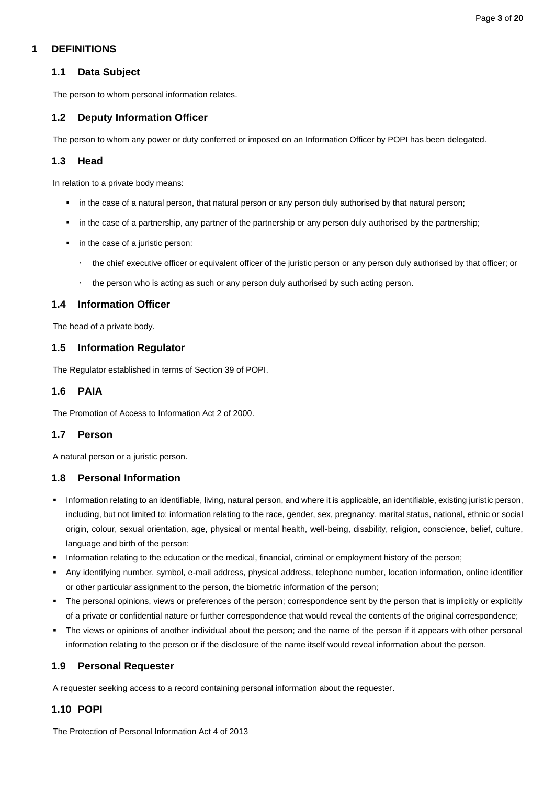# <span id="page-3-1"></span><span id="page-3-0"></span>**1 DEFINITIONS**

# **1.1 Data Subject**

The person to whom personal information relates.

# <span id="page-3-2"></span>**1.2 Deputy Information Officer**

The person to whom any power or duty conferred or imposed on an Information Officer by POPI has been delegated.

# <span id="page-3-3"></span>**1.3 Head**

In relation to a private body means:

- in the case of a natural person, that natural person or any person duly authorised by that natural person;
- in the case of a partnership, any partner of the partnership or any person duly authorised by the partnership;
- in the case of a juristic person:
	- the chief executive officer or equivalent officer of the juristic person or any person duly authorised by that officer; or
	- $\cdot$  the person who is acting as such or any person duly authorised by such acting person.

# <span id="page-3-4"></span>**1.4 Information Officer**

The head of a private body.

### <span id="page-3-5"></span>**1.5 Information Regulator**

The Regulator established in terms of Section 39 of POPI.

## <span id="page-3-6"></span>**1.6 PAIA**

The Promotion of Access to Information Act 2 of 2000.

### <span id="page-3-7"></span>**1.7 Person**

A natural person or a juristic person.

### <span id="page-3-8"></span>**1.8 Personal Information**

- Information relating to an identifiable, living, natural person, and where it is applicable, an identifiable, existing juristic person, including, but not limited to: information relating to the race, gender, sex, pregnancy, marital status, national, ethnic or social origin, colour, sexual orientation, age, physical or mental health, well-being, disability, religion, conscience, belief, culture, language and birth of the person;
- Information relating to the education or the medical, financial, criminal or employment history of the person;
- Any identifying number, symbol, e-mail address, physical address, telephone number, location information, online identifier or other particular assignment to the person, the biometric information of the person;
- The personal opinions, views or preferences of the person; correspondence sent by the person that is implicitly or explicitly of a private or confidential nature or further correspondence that would reveal the contents of the original correspondence;
- The views or opinions of another individual about the person; and the name of the person if it appears with other personal information relating to the person or if the disclosure of the name itself would reveal information about the person.

### <span id="page-3-9"></span>**1.9 Personal Requester**

A requester seeking access to a record containing personal information about the requester.

# <span id="page-3-10"></span>**1.10 POPI**

The Protection of Personal Information Act 4 of 2013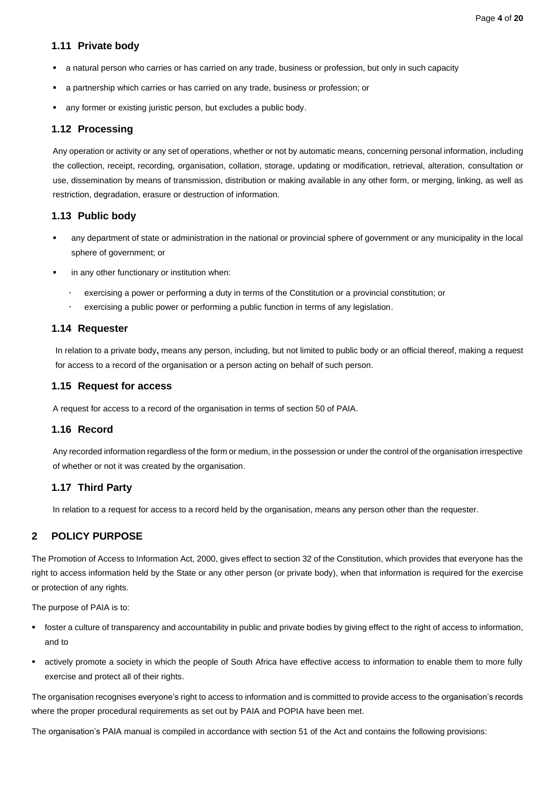### <span id="page-4-0"></span>**1.11 Private body**

- a natural person who carries or has carried on any trade, business or profession, but only in such capacity
- a partnership which carries or has carried on any trade, business or profession; or
- any former or existing juristic person, but excludes a public body.

### <span id="page-4-1"></span>**1.12 Processing**

Any operation or activity or any set of operations, whether or not by automatic means, concerning personal information, including the collection, receipt, recording, organisation, collation, storage, updating or modification, retrieval, alteration, consultation or use, dissemination by means of transmission, distribution or making available in any other form, or merging, linking, as well as restriction, degradation, erasure or destruction of information.

### <span id="page-4-2"></span>**1.13 Public body**

- any department of state or administration in the national or provincial sphere of government or any municipality in the local sphere of government; or
- in any other functionary or institution when:
	- exercising a power or performing a duty in terms of the Constitution or a provincial constitution; or
	- exercising a public power or performing a public function in terms of any legislation.

### <span id="page-4-3"></span>**1.14 Requester**

In relation to a private body**,** means any person, including, but not limited to public body or an official thereof, making a request for access to a record of the organisation or a person acting on behalf of such person.

### <span id="page-4-4"></span>**1.15 Request for access**

A request for access to a record of the organisation in terms of section 50 of PAIA.

### <span id="page-4-5"></span>**1.16 Record**

Any recorded information regardless of the form or medium, in the possession or under the control of the organisation irrespective of whether or not it was created by the organisation.

### <span id="page-4-6"></span>**1.17 Third Party**

In relation to a request for access to a record held by the organisation, means any person other than the requester.

### <span id="page-4-7"></span>**2 POLICY PURPOSE**

The Promotion of Access to Information Act, 2000, gives effect to section 32 of the Constitution, which provides that everyone has the right to access information held by the State or any other person (or private body), when that information is required for the exercise or protection of any rights.

The purpose of PAIA is to:

- foster a culture of transparency and accountability in public and private bodies by giving effect to the right of access to information, and to
- actively promote a society in which the people of South Africa have effective access to information to enable them to more fully exercise and protect all of their rights.

The organisation recognises everyone's right to access to information and is committed to provide access to the organisation's records where the proper procedural requirements as set out by PAIA and POPIA have been met.

The organisation's PAIA manual is compiled in accordance with section 51 of the Act and contains the following provisions: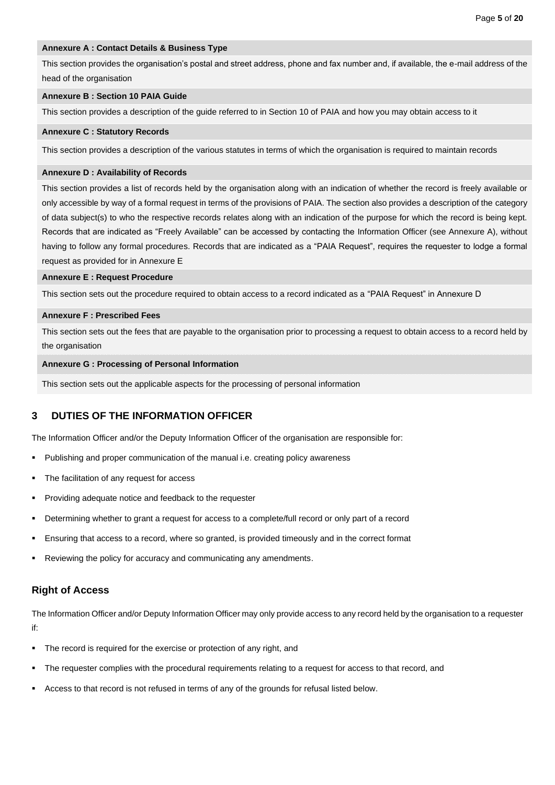### **Annexure A : Contact Details & Business Type**

This section provides the organisation's postal and street address, phone and fax number and, if available, the e-mail address of the head of the organisation

#### **Annexure B : Section 10 PAIA Guide**

This section provides a description of the guide referred to in Section 10 of PAIA and how you may obtain access to it

#### **Annexure C : Statutory Records**

This section provides a description of the various statutes in terms of which the organisation is required to maintain records

#### **Annexure D : Availability of Records**

This section provides a list of records held by the organisation along with an indication of whether the record is freely available or only accessible by way of a formal request in terms of the provisions of PAIA. The section also provides a description of the category of data subject(s) to who the respective records relates along with an indication of the purpose for which the record is being kept. Records that are indicated as "Freely Available" can be accessed by contacting the Information Officer (see Annexure A), without having to follow any formal procedures. Records that are indicated as a "PAIA Request", requires the requester to lodge a formal request as provided for in Annexure E

#### **Annexure E : Request Procedure**

This section sets out the procedure required to obtain access to a record indicated as a "PAIA Request" in Annexure D

#### **Annexure F : Prescribed Fees**

This section sets out the fees that are payable to the organisation prior to processing a request to obtain access to a record held by the organisation

#### **Annexure G : Processing of Personal Information**

This section sets out the applicable aspects for the processing of personal information

### <span id="page-5-0"></span>**3 DUTIES OF THE INFORMATION OFFICER**

The Information Officer and/or the Deputy Information Officer of the organisation are responsible for:

- Publishing and proper communication of the manual i.e. creating policy awareness
- The facilitation of any request for access
- Providing adequate notice and feedback to the requester
- Determining whether to grant a request for access to a complete/full record or only part of a record
- Ensuring that access to a record, where so granted, is provided timeously and in the correct format
- Reviewing the policy for accuracy and communicating any amendments.

### **Right of Access**

The Information Officer and/or Deputy Information Officer may only provide access to any record held by the organisation to a requester if:

- The record is required for the exercise or protection of any right, and
- The requester complies with the procedural requirements relating to a request for access to that record, and
- Access to that record is not refused in terms of any of the grounds for refusal listed below.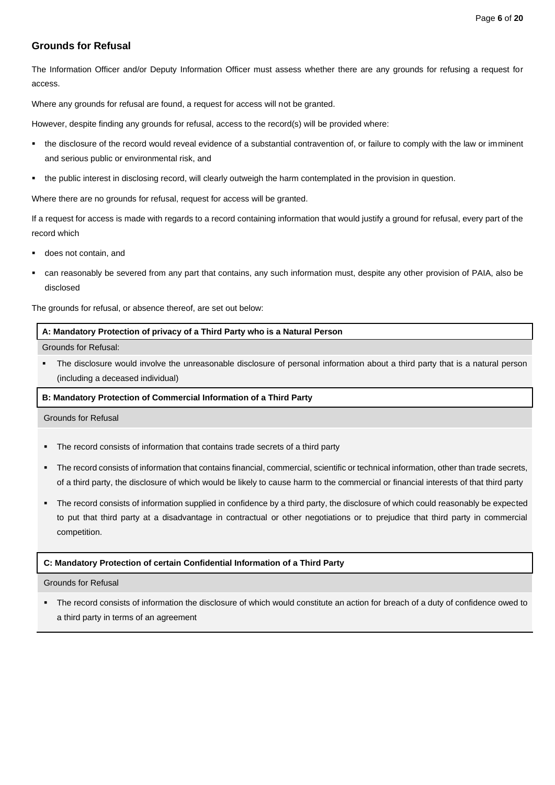# **Grounds for Refusal**

The Information Officer and/or Deputy Information Officer must assess whether there are any grounds for refusing a request for access.

Where any grounds for refusal are found, a request for access will not be granted.

However, despite finding any grounds for refusal, access to the record(s) will be provided where:

- the disclosure of the record would reveal evidence of a substantial contravention of, or failure to comply with the law or imminent and serious public or environmental risk, and
- the public interest in disclosing record, will clearly outweigh the harm contemplated in the provision in question.

Where there are no grounds for refusal, request for access will be granted.

If a request for access is made with regards to a record containing information that would justify a ground for refusal, every part of the record which

- does not contain, and
- can reasonably be severed from any part that contains, any such information must, despite any other provision of PAIA, also be disclosed

The grounds for refusal, or absence thereof, are set out below:

#### **A: Mandatory Protection of privacy of a Third Party who is a Natural Person**

Grounds for Refusal:

The disclosure would involve the unreasonable disclosure of personal information about a third party that is a natural person (including a deceased individual)

#### **B: Mandatory Protection of Commercial Information of a Third Party**

Grounds for Refusal

- The record consists of information that contains trade secrets of a third party
- The record consists of information that contains financial, commercial, scientific or technical information, other than trade secrets, of a third party, the disclosure of which would be likely to cause harm to the commercial or financial interests of that third party
- The record consists of information supplied in confidence by a third party, the disclosure of which could reasonably be expected to put that third party at a disadvantage in contractual or other negotiations or to prejudice that third party in commercial competition.

#### **C: Mandatory Protection of certain Confidential Information of a Third Party**

#### Grounds for Refusal

▪ The record consists of information the disclosure of which would constitute an action for breach of a duty of confidence owed to a third party in terms of an agreement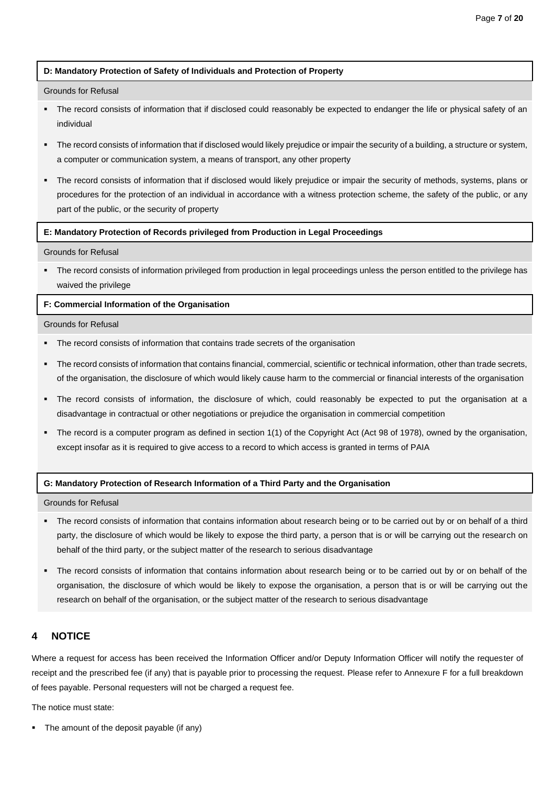#### **D: Mandatory Protection of Safety of Individuals and Protection of Property**

#### Grounds for Refusal

- The record consists of information that if disclosed could reasonably be expected to endanger the life or physical safety of an individual
- The record consists of information that if disclosed would likely prejudice or impair the security of a building, a structure or system, a computer or communication system, a means of transport, any other property
- The record consists of information that if disclosed would likely prejudice or impair the security of methods, systems, plans or procedures for the protection of an individual in accordance with a witness protection scheme, the safety of the public, or any part of the public, or the security of property

#### **E: Mandatory Protection of Records privileged from Production in Legal Proceedings**

### Grounds for Refusal

The record consists of information privileged from production in legal proceedings unless the person entitled to the privilege has waived the privilege

#### **F: Commercial Information of the Organisation**

#### Grounds for Refusal

- The record consists of information that contains trade secrets of the organisation
- The record consists of information that contains financial, commercial, scientific or technical information, other than trade secrets, of the organisation, the disclosure of which would likely cause harm to the commercial or financial interests of the organisation
- The record consists of information, the disclosure of which, could reasonably be expected to put the organisation at a disadvantage in contractual or other negotiations or prejudice the organisation in commercial competition
- The record is a computer program as defined in section 1(1) of the Copyright Act (Act 98 of 1978), owned by the organisation, except insofar as it is required to give access to a record to which access is granted in terms of PAIA

#### **G: Mandatory Protection of Research Information of a Third Party and the Organisation**

Grounds for Refusal

- The record consists of information that contains information about research being or to be carried out by or on behalf of a third party, the disclosure of which would be likely to expose the third party, a person that is or will be carrying out the research on behalf of the third party, or the subject matter of the research to serious disadvantage
- The record consists of information that contains information about research being or to be carried out by or on behalf of the organisation, the disclosure of which would be likely to expose the organisation, a person that is or will be carrying out the research on behalf of the organisation, or the subject matter of the research to serious disadvantage

# <span id="page-7-0"></span>**4 NOTICE**

Where a request for access has been received the Information Officer and/or Deputy Information Officer will notify the requester of receipt and the prescribed fee (if any) that is payable prior to processing the request. Please refer to Annexure F for a full breakdown of fees payable. Personal requesters will not be charged a request fee.

The notice must state:

The amount of the deposit payable (if any)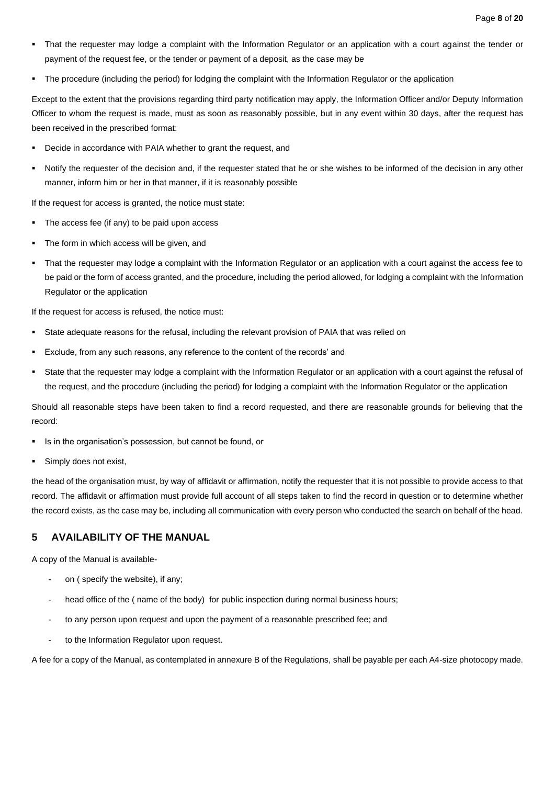- That the requester may lodge a complaint with the Information Regulator or an application with a court against the tender or payment of the request fee, or the tender or payment of a deposit, as the case may be
- The procedure (including the period) for lodging the complaint with the Information Regulator or the application

Except to the extent that the provisions regarding third party notification may apply, the Information Officer and/or Deputy Information Officer to whom the request is made, must as soon as reasonably possible, but in any event within 30 days, after the request has been received in the prescribed format:

- Decide in accordance with PAIA whether to grant the request, and
- Notify the requester of the decision and, if the requester stated that he or she wishes to be informed of the decision in any other manner, inform him or her in that manner, if it is reasonably possible

If the request for access is granted, the notice must state:

- The access fee (if any) to be paid upon access
- The form in which access will be given, and
- That the requester may lodge a complaint with the Information Regulator or an application with a court against the access fee to be paid or the form of access granted, and the procedure, including the period allowed, for lodging a complaint with the Information Regulator or the application

If the request for access is refused, the notice must:

- State adequate reasons for the refusal, including the relevant provision of PAIA that was relied on
- Exclude, from any such reasons, any reference to the content of the records' and
- State that the requester may lodge a complaint with the Information Regulator or an application with a court against the refusal of the request, and the procedure (including the period) for lodging a complaint with the Information Regulator or the application

Should all reasonable steps have been taken to find a record requested, and there are reasonable grounds for believing that the record:

- Is in the organisation's possession, but cannot be found, or
- Simply does not exist,

the head of the organisation must, by way of affidavit or affirmation, notify the requester that it is not possible to provide access to that record. The affidavit or affirmation must provide full account of all steps taken to find the record in question or to determine whether the record exists, as the case may be, including all communication with every person who conducted the search on behalf of the head.

# <span id="page-8-0"></span>**5 AVAILABILITY OF THE MANUAL**

A copy of the Manual is available-

- on ( specify the website), if any;
- head office of the ( name of the body) for public inspection during normal business hours;
- to any person upon request and upon the payment of a reasonable prescribed fee; and
- to the Information Regulator upon request.

A fee for a copy of the Manual, as contemplated in annexure B of the Regulations, shall be payable per each A4-size photocopy made.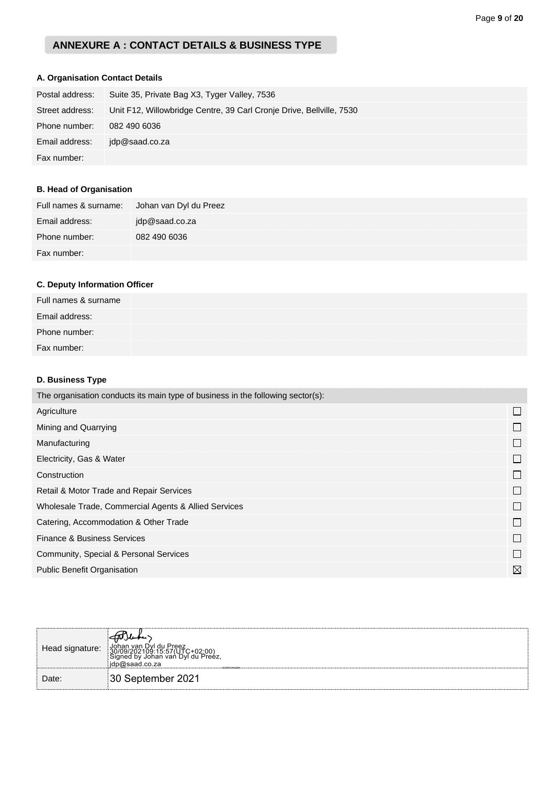# **ANNEXURE A : CONTACT DETAILS & BUSINESS TYPE**

# **A. Organisation Contact Details**

| Postal address: | Suite 35, Private Bag X3, Tyger Valley, 7536                         |
|-----------------|----------------------------------------------------------------------|
| Street address: | Unit F12, Willowbridge Centre, 39 Carl Cronje Drive, Bellville, 7530 |
| Phone number:   | 082 490 6036                                                         |
| Email address:  | idp@saad.co.za                                                       |
| Fax number:     |                                                                      |

# **B. Head of Organisation**

| Full names & surname: | Johan van Dyl du Preez |
|-----------------------|------------------------|
| Email address:        | jdp@saad.co.za         |
| Phone number:         | 082 490 6036           |
| Fax number:           |                        |

# **C. Deputy Information Officer**

| Full names & surname |  |  |
|----------------------|--|--|
| Email address:       |  |  |
| Phone number:        |  |  |
| Fax number:          |  |  |

# **D. Business Type**

| The organisation conducts its main type of business in the following sector(s): |              |
|---------------------------------------------------------------------------------|--------------|
| Agriculture                                                                     | $\mathbf{L}$ |
| Mining and Quarrying                                                            |              |
| Manufacturing                                                                   |              |
| Electricity, Gas & Water                                                        |              |
| Construction                                                                    | $\mathbf{L}$ |
| Retail & Motor Trade and Repair Services                                        | $\Box$       |
| Wholesale Trade, Commercial Agents & Allied Services                            | $\Box$       |
| Catering, Accommodation & Other Trade                                           |              |
| <b>Finance &amp; Business Services</b>                                          | $\Box$       |
| Community, Special & Personal Services                                          | П            |
| <b>Public Benefit Organisation</b>                                              | $\boxtimes$  |

| Head signature: | FDJubei<br>│ Johan van Dyl du Preez<br>  30/09/202109:15:57(UTC+02:00)<br>  Signed by Johan van Dyl du Preez,<br>idp@saad.co.za∣<br>SIGNIFION/COM |
|-----------------|---------------------------------------------------------------------------------------------------------------------------------------------------|
| Date:           | 30 September 2021                                                                                                                                 |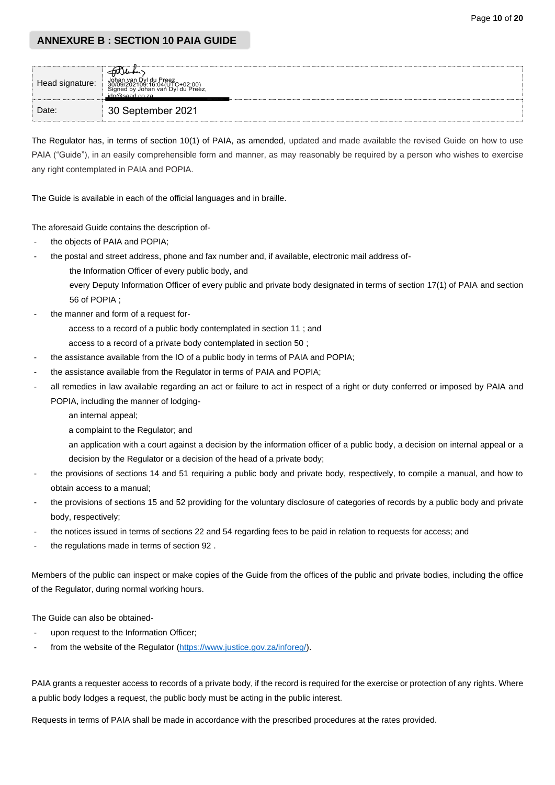# **ANNEXURE B : SECTION 10 PAIA GUIDE**

| Head signature: |                   |  |
|-----------------|-------------------|--|
| Date:           | 30 September 2021 |  |

The Regulator has, in terms of section 10(1) of PAIA, as amended, updated and made available the revised Guide on how to use PAIA ("Guide"), in an easily comprehensible form and manner, as may reasonably be required by a person who wishes to exercise any right contemplated in PAIA and POPIA.

The Guide is available in each of the official languages and in braille.

The aforesaid Guide contains the description of-

- the objects of PAIA and POPIA:
- the postal and street address, phone and fax number and, if available, electronic mail address of
	- the Information Officer of every public body, and

every Deputy Information Officer of every public and private body designated in terms of section 17(1) of PAIA and section 56 of POPIA ;

the manner and form of a request for-

access to a record of a public body contemplated in section 11 ; and

- access to a record of a private body contemplated in section 50 ;
- the assistance available from the IO of a public body in terms of PAIA and POPIA;
- the assistance available from the Regulator in terms of PAIA and POPIA;
- all remedies in law available regarding an act or failure to act in respect of a right or duty conferred or imposed by PAIA and POPIA, including the manner of lodging
	- an internal appeal;
	- a complaint to the Regulator; and
	- an application with a court against a decision by the information officer of a public body, a decision on internal appeal or a decision by the Regulator or a decision of the head of a private body;
- the provisions of sections 14 and 51 requiring a public body and private body, respectively, to compile a manual, and how to obtain access to a manual;
- the provisions of sections 15 and 52 providing for the voluntary disclosure of categories of records by a public body and private body, respectively;
- the notices issued in terms of sections 22 and 54 regarding fees to be paid in relation to requests for access; and
- the regulations made in terms of section 92.

Members of the public can inspect or make copies of the Guide from the offices of the public and private bodies, including the office of the Regulator, during normal working hours.

The Guide can also be obtained-

- upon request to the Information Officer:
- from the website of the Regulator [\(https://www.justice.gov.za/inforeg/\)](https://www.justice.gov.za/inforeg/).

PAIA grants a requester access to records of a private body, if the record is required for the exercise or protection of any rights. Where a public body lodges a request, the public body must be acting in the public interest.

Requests in terms of PAIA shall be made in accordance with the prescribed procedures at the rates provided.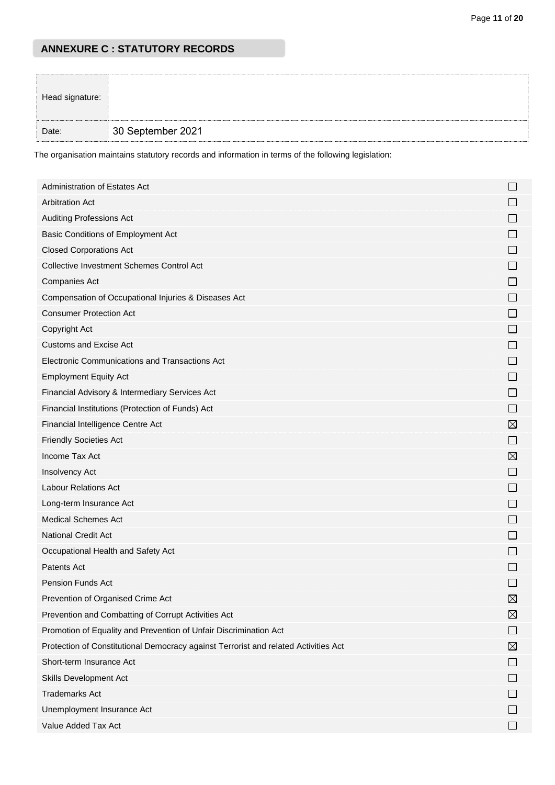# **ANNEXURE C : STATUTORY RECORDS**

| Head signature: |                   |  |
|-----------------|-------------------|--|
| Date:           | 30 September 2021 |  |

The organisation maintains statutory records and information in terms of the following legislation:

| Administration of Estates Act                                                       |                          |
|-------------------------------------------------------------------------------------|--------------------------|
| <b>Arbitration Act</b>                                                              |                          |
| <b>Auditing Professions Act</b>                                                     |                          |
| Basic Conditions of Employment Act                                                  | $\Box$                   |
| <b>Closed Corporations Act</b>                                                      |                          |
| <b>Collective Investment Schemes Control Act</b>                                    | $\Box$                   |
| <b>Companies Act</b>                                                                | $\Box$                   |
| Compensation of Occupational Injuries & Diseases Act                                |                          |
| <b>Consumer Protection Act</b>                                                      |                          |
| Copyright Act                                                                       |                          |
| <b>Customs and Excise Act</b>                                                       | $\Box$                   |
| Electronic Communications and Transactions Act                                      | $\Box$                   |
| <b>Employment Equity Act</b>                                                        |                          |
| Financial Advisory & Intermediary Services Act                                      | $\mathsf{L}$             |
| Financial Institutions (Protection of Funds) Act                                    |                          |
| Financial Intelligence Centre Act                                                   | $\boxtimes$              |
| <b>Friendly Societies Act</b>                                                       | $\mathsf{L}$             |
| Income Tax Act                                                                      | $\boxtimes$              |
| Insolvency Act                                                                      | ⊔                        |
| <b>Labour Relations Act</b>                                                         | $\mathsf{L}$             |
| Long-term Insurance Act                                                             |                          |
| <b>Medical Schemes Act</b>                                                          |                          |
| National Credit Act                                                                 | $\Box$                   |
| Occupational Health and Safety Act                                                  | $\Box$                   |
| Patents Act                                                                         |                          |
| <b>Pension Funds Act</b>                                                            |                          |
| Prevention of Organised Crime Act                                                   | $\boxtimes$              |
| Prevention and Combatting of Corrupt Activities Act                                 | ⊠                        |
| Promotion of Equality and Prevention of Unfair Discrimination Act                   | $\mathsf{L}$             |
| Protection of Constitutional Democracy against Terrorist and related Activities Act | ⊠                        |
| Short-term Insurance Act                                                            |                          |
| Skills Development Act                                                              |                          |
| <b>Trademarks Act</b>                                                               |                          |
| Unemployment Insurance Act                                                          |                          |
| Value Added Tax Act                                                                 | $\overline{\phantom{a}}$ |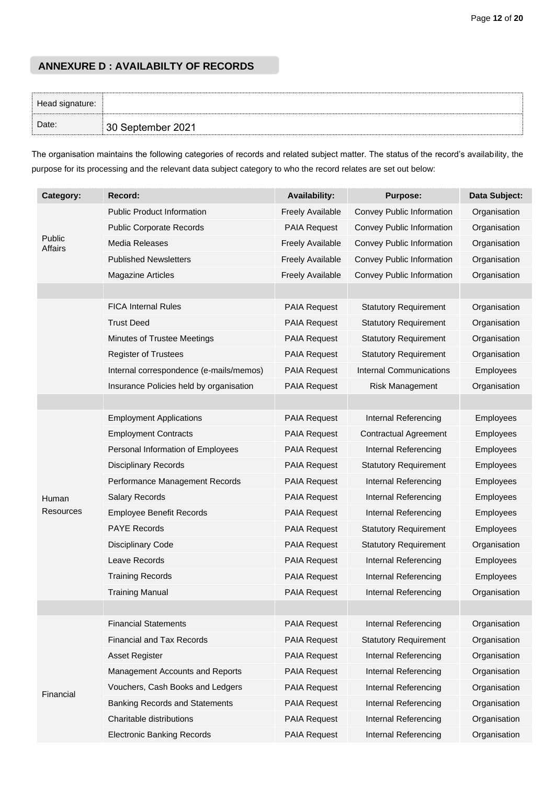# **ANNEXURE D : AVAILABILTY OF RECORDS**

| Head signature: |                   |  |
|-----------------|-------------------|--|
| Date:           | 30 September 2021 |  |

The organisation maintains the following categories of records and related subject matter. The status of the record's availability, the purpose for its processing and the relevant data subject category to who the record relates are set out below:

| Category:         | Record:                                 | <b>Availability:</b>    | <b>Purpose:</b>              | Data Subject: |
|-------------------|-----------------------------------------|-------------------------|------------------------------|---------------|
|                   | <b>Public Product Information</b>       | <b>Freely Available</b> | Convey Public Information    | Organisation  |
|                   | <b>Public Corporate Records</b>         | <b>PAIA Request</b>     | Convey Public Information    | Organisation  |
| Public<br>Affairs | Media Releases                          | <b>Freely Available</b> | Convey Public Information    | Organisation  |
|                   | <b>Published Newsletters</b>            | <b>Freely Available</b> | Convey Public Information    | Organisation  |
|                   | <b>Magazine Articles</b>                | <b>Freely Available</b> | Convey Public Information    | Organisation  |
|                   |                                         |                         |                              |               |
|                   | <b>FICA Internal Rules</b>              | <b>PAIA Request</b>     | <b>Statutory Requirement</b> | Organisation  |
|                   | <b>Trust Deed</b>                       | <b>PAIA Request</b>     | <b>Statutory Requirement</b> | Organisation  |
|                   | Minutes of Trustee Meetings             | PAIA Request            | <b>Statutory Requirement</b> | Organisation  |
|                   | <b>Register of Trustees</b>             | <b>PAIA Request</b>     | <b>Statutory Requirement</b> | Organisation  |
|                   | Internal correspondence (e-mails/memos) | PAIA Request            | Internal Communications      | Employees     |
|                   | Insurance Policies held by organisation | PAIA Request            | Risk Management              | Organisation  |
|                   |                                         |                         |                              |               |
|                   | <b>Employment Applications</b>          | <b>PAIA Request</b>     | Internal Referencing         | Employees     |
|                   | <b>Employment Contracts</b>             | <b>PAIA Request</b>     | <b>Contractual Agreement</b> | Employees     |
|                   | Personal Information of Employees       | PAIA Request            | Internal Referencing         | Employees     |
|                   | <b>Disciplinary Records</b>             | PAIA Request            | <b>Statutory Requirement</b> | Employees     |
|                   | Performance Management Records          | PAIA Request            | Internal Referencing         | Employees     |
| Human             | <b>Salary Records</b>                   | <b>PAIA Request</b>     | Internal Referencing         | Employees     |
| Resources         | <b>Employee Benefit Records</b>         | PAIA Request            | Internal Referencing         | Employees     |
|                   | <b>PAYE Records</b>                     | <b>PAIA Request</b>     | <b>Statutory Requirement</b> | Employees     |
|                   | <b>Disciplinary Code</b>                | <b>PAIA Request</b>     | <b>Statutory Requirement</b> | Organisation  |
|                   | Leave Records                           | PAIA Request            | Internal Referencing         | Employees     |
|                   | <b>Training Records</b>                 | PAIA Request            | Internal Referencing         | Employees     |
|                   | <b>Training Manual</b>                  | <b>PAIA Request</b>     | Internal Referencing         | Organisation  |
|                   |                                         |                         |                              |               |
|                   | <b>Financial Statements</b>             | PAIA Request            | Internal Referencing         | Organisation  |
|                   | <b>Financial and Tax Records</b>        | <b>PAIA Request</b>     | <b>Statutory Requirement</b> | Organisation  |
|                   | Asset Register                          | PAIA Request            | Internal Referencing         | Organisation  |
|                   | Management Accounts and Reports         | PAIA Request            | Internal Referencing         | Organisation  |
| Financial         | Vouchers, Cash Books and Ledgers        | PAIA Request            | Internal Referencing         | Organisation  |
|                   | <b>Banking Records and Statements</b>   | PAIA Request            | Internal Referencing         | Organisation  |
|                   | Charitable distributions                | PAIA Request            | Internal Referencing         | Organisation  |
|                   | <b>Electronic Banking Records</b>       | PAIA Request            | Internal Referencing         | Organisation  |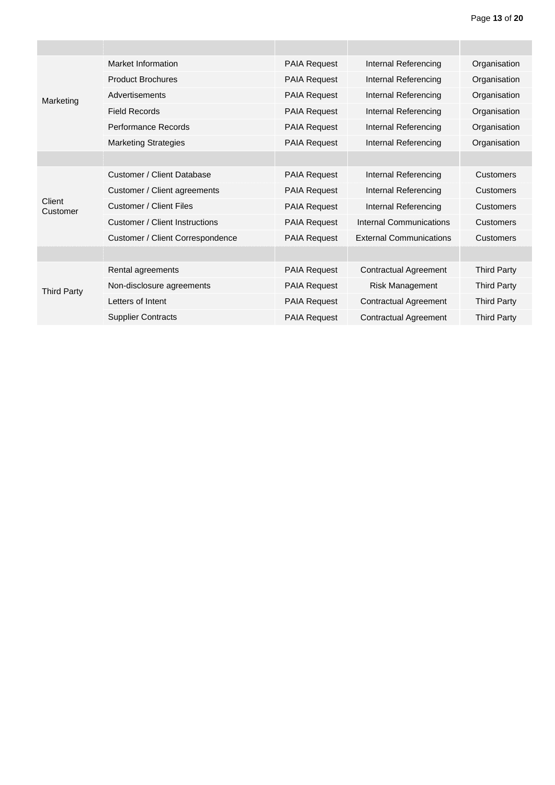|                    | Market Information                    | <b>PAIA Request</b> | Internal Referencing           | Organisation       |
|--------------------|---------------------------------------|---------------------|--------------------------------|--------------------|
|                    | <b>Product Brochures</b>              | <b>PAIA Request</b> | Internal Referencing           | Organisation       |
| Marketing          | Advertisements                        | <b>PAIA Request</b> | Internal Referencing           | Organisation       |
|                    | <b>Field Records</b>                  | <b>PAIA Request</b> | Internal Referencing           | Organisation       |
|                    | Performance Records                   | <b>PAIA Request</b> | Internal Referencing           | Organisation       |
|                    | <b>Marketing Strategies</b>           | <b>PAIA Request</b> | Internal Referencing           | Organisation       |
|                    |                                       |                     |                                |                    |
|                    | Customer / Client Database            | <b>PAIA Request</b> | Internal Referencing           | <b>Customers</b>   |
|                    | Customer / Client agreements          | <b>PAIA Request</b> | Internal Referencing           | <b>Customers</b>   |
| Client<br>Customer | <b>Customer / Client Files</b>        | <b>PAIA Request</b> | Internal Referencing           | <b>Customers</b>   |
|                    | <b>Customer / Client Instructions</b> | <b>PAIA Request</b> | Internal Communications        | <b>Customers</b>   |
|                    | Customer / Client Correspondence      | <b>PAIA Request</b> | <b>External Communications</b> | <b>Customers</b>   |
|                    |                                       |                     |                                |                    |
|                    | Rental agreements                     | <b>PAIA Request</b> | <b>Contractual Agreement</b>   | <b>Third Party</b> |
| <b>Third Party</b> | Non-disclosure agreements             | <b>PAIA Request</b> | <b>Risk Management</b>         | <b>Third Party</b> |
|                    | Letters of Intent                     | <b>PAIA Request</b> | <b>Contractual Agreement</b>   | <b>Third Party</b> |
|                    | <b>Supplier Contracts</b>             | <b>PAIA Request</b> | <b>Contractual Agreement</b>   | <b>Third Party</b> |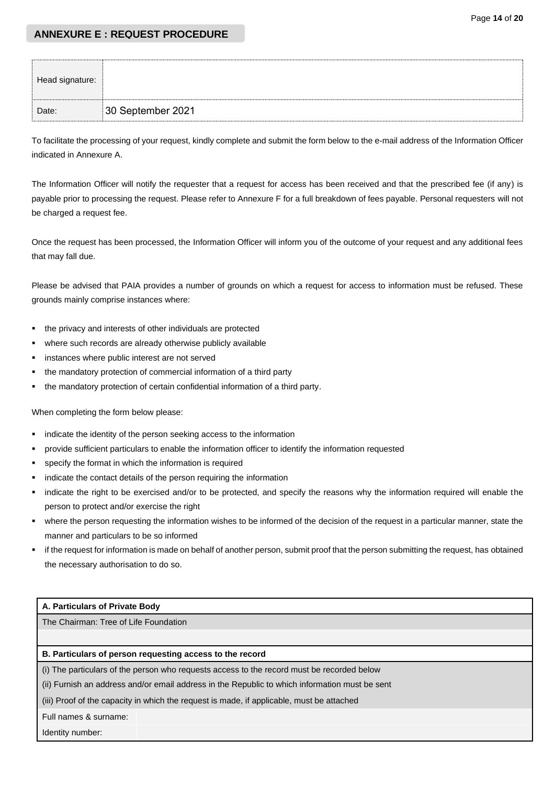## **ANNEXURE E : REQUEST PROCEDURE**

| Head signature: |                   |
|-----------------|-------------------|
| Date:           | 30 September 2021 |

To facilitate the processing of your request, kindly complete and submit the form below to the e-mail address of the Information Officer indicated in Annexure A.

The Information Officer will notify the requester that a request for access has been received and that the prescribed fee (if any) is payable prior to processing the request. Please refer to Annexure F for a full breakdown of fees payable. Personal requesters will not be charged a request fee.

Once the request has been processed, the Information Officer will inform you of the outcome of your request and any additional fees that may fall due.

Please be advised that PAIA provides a number of grounds on which a request for access to information must be refused. These grounds mainly comprise instances where:

- the privacy and interests of other individuals are protected
- where such records are already otherwise publicly available
- instances where public interest are not served
- the mandatory protection of commercial information of a third party
- the mandatory protection of certain confidential information of a third party.

When completing the form below please:

- indicate the identity of the person seeking access to the information
- provide sufficient particulars to enable the information officer to identify the information requested
- specify the format in which the information is required
- indicate the contact details of the person requiring the information
- indicate the right to be exercised and/or to be protected, and specify the reasons why the information required will enable the person to protect and/or exercise the right
- where the person requesting the information wishes to be informed of the decision of the request in a particular manner, state the manner and particulars to be so informed
- if the request for information is made on behalf of another person, submit proof that the person submitting the request, has obtained the necessary authorisation to do so.

### **A. Particulars of Private Body**

The Chairman: Tree of Life Foundation

#### **B. Particulars of person requesting access to the record**

(i) The particulars of the person who requests access to the record must be recorded below

(ii) Furnish an address and/or email address in the Republic to which information must be sent

(iii) Proof of the capacity in which the request is made, if applicable, must be attached

Full names & surname:

Identity number: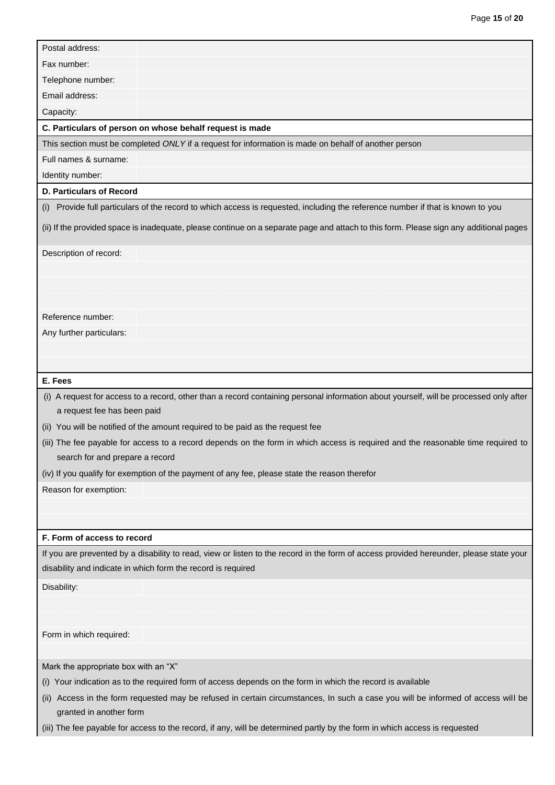| Postal address:                      |                                                                                                                                        |
|--------------------------------------|----------------------------------------------------------------------------------------------------------------------------------------|
| Fax number:                          |                                                                                                                                        |
| Telephone number:                    |                                                                                                                                        |
| Email address:                       |                                                                                                                                        |
| Capacity:                            |                                                                                                                                        |
|                                      | C. Particulars of person on whose behalf request is made                                                                               |
|                                      | This section must be completed ONLY if a request for information is made on behalf of another person                                   |
| Full names & surname:                |                                                                                                                                        |
| Identity number:                     |                                                                                                                                        |
| <b>D. Particulars of Record</b>      |                                                                                                                                        |
|                                      | (i) Provide full particulars of the record to which access is requested, including the reference number if that is known to you        |
|                                      | (ii) If the provided space is inadequate, please continue on a separate page and attach to this form. Please sign any additional pages |
| Description of record:               |                                                                                                                                        |
|                                      |                                                                                                                                        |
|                                      |                                                                                                                                        |
|                                      |                                                                                                                                        |
| Reference number:                    |                                                                                                                                        |
| Any further particulars:             |                                                                                                                                        |
|                                      |                                                                                                                                        |
|                                      |                                                                                                                                        |
| E. Fees                              |                                                                                                                                        |
|                                      | (i) A request for access to a record, other than a record containing personal information about yourself, will be processed only after |
| a request fee has been paid          |                                                                                                                                        |
|                                      | (ii) You will be notified of the amount required to be paid as the request fee                                                         |
|                                      | (iii) The fee payable for access to a record depends on the form in which access is required and the reasonable time required to       |
| search for and prepare a record      |                                                                                                                                        |
|                                      | (iv) If you qualify for exemption of the payment of any fee, please state the reason therefor                                          |
| Reason for exemption:                |                                                                                                                                        |
|                                      |                                                                                                                                        |
|                                      |                                                                                                                                        |
| F. Form of access to record          |                                                                                                                                        |
|                                      | If you are prevented by a disability to read, view or listen to the record in the form of access provided hereunder, please state your |
|                                      | disability and indicate in which form the record is required                                                                           |
| Disability:                          |                                                                                                                                        |
|                                      |                                                                                                                                        |
|                                      |                                                                                                                                        |
| Form in which required:              |                                                                                                                                        |
|                                      |                                                                                                                                        |
| Mark the appropriate box with an "X" |                                                                                                                                        |
|                                      | (i) Your indication as to the required form of access depends on the form in which the record is available                             |
| (II)<br>granted in another form      | Access in the form requested may be refused in certain circumstances, In such a case you will be informed of access will be            |
|                                      | (iii) The fee payable for access to the record, if any, will be determined partly by the form in which access is requested             |

Page **15** of **20**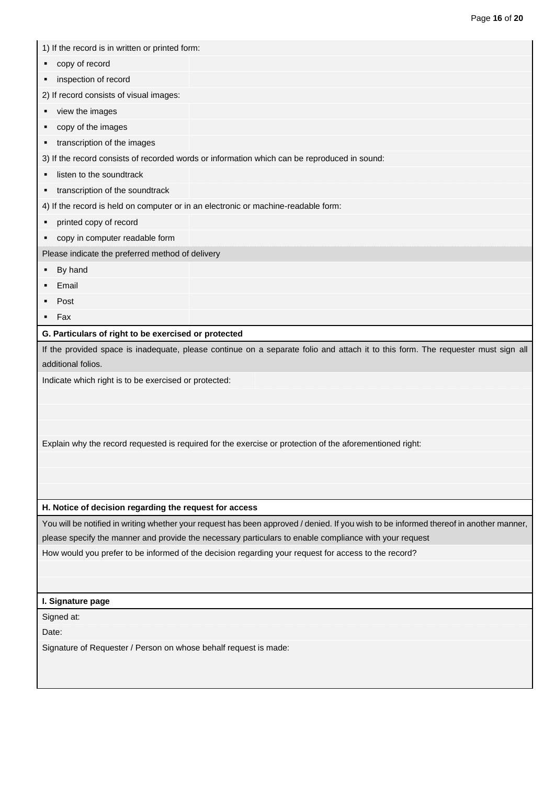|                     | 1) If the record is in written or printed form:                                                                                                                                          |
|---------------------|------------------------------------------------------------------------------------------------------------------------------------------------------------------------------------------|
|                     |                                                                                                                                                                                          |
| ٠                   | copy of record                                                                                                                                                                           |
|                     | inspection of record                                                                                                                                                                     |
|                     | 2) If record consists of visual images:                                                                                                                                                  |
|                     | view the images                                                                                                                                                                          |
|                     | copy of the images                                                                                                                                                                       |
|                     | transcription of the images                                                                                                                                                              |
|                     | 3) If the record consists of recorded words or information which can be reproduced in sound:                                                                                             |
|                     | listen to the soundtrack                                                                                                                                                                 |
| ٠                   | transcription of the soundtrack                                                                                                                                                          |
|                     | 4) If the record is held on computer or in an electronic or machine-readable form:                                                                                                       |
|                     | printed copy of record                                                                                                                                                                   |
| ٠                   | copy in computer readable form                                                                                                                                                           |
|                     | Please indicate the preferred method of delivery                                                                                                                                         |
|                     | By hand                                                                                                                                                                                  |
|                     | Email                                                                                                                                                                                    |
|                     | Post                                                                                                                                                                                     |
| $-$ Fax             |                                                                                                                                                                                          |
|                     | G. Particulars of right to be exercised or protected<br>If the provided space is inadequate, please continue on a separate folio and attach it to this form. The requester must sign all |
|                     | additional folios.<br>Indicate which right is to be exercised or protected:                                                                                                              |
|                     | Explain why the record requested is required for the exercise or protection of the aforementioned right:                                                                                 |
|                     | H. Notice of decision regarding the request for access                                                                                                                                   |
|                     | You will be notified in writing whether your request has been approved / denied. If you wish to be informed thereof in another manner,                                                   |
|                     | please specify the manner and provide the necessary particulars to enable compliance with your request                                                                                   |
|                     | How would you prefer to be informed of the decision regarding your request for access to the record?                                                                                     |
|                     | I. Signature page                                                                                                                                                                        |
|                     |                                                                                                                                                                                          |
| Signed at:<br>Date: |                                                                                                                                                                                          |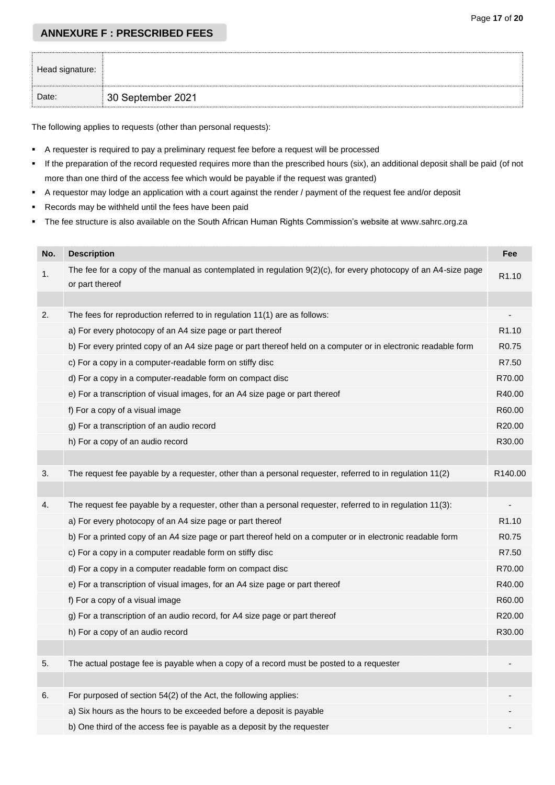# **ANNEXURE F : PRESCRIBED FEES**

| Head signature: |                   |
|-----------------|-------------------|
| Date:           | 30 September 2021 |

The following applies to requests (other than personal requests):

- A requester is required to pay a preliminary request fee before a request will be processed
- If the preparation of the record requested requires more than the prescribed hours (six), an additional deposit shall be paid (of not more than one third of the access fee which would be payable if the request was granted)
- A requestor may lodge an application with a court against the render / payment of the request fee and/or deposit
- Records may be withheld until the fees have been paid
- The fee structure is also available on the South African Human Rights Commission's website at www.sahrc.org.za

| No. | <b>Description</b>                                                                                                                   | Fee               |
|-----|--------------------------------------------------------------------------------------------------------------------------------------|-------------------|
| 1.  | The fee for a copy of the manual as contemplated in regulation $9(2)(c)$ , for every photocopy of an A4-size page<br>or part thereof | R1.10             |
|     |                                                                                                                                      |                   |
| 2.  | The fees for reproduction referred to in regulation 11(1) are as follows:                                                            |                   |
|     | a) For every photocopy of an A4 size page or part thereof                                                                            | R <sub>1.10</sub> |
|     | b) For every printed copy of an A4 size page or part thereof held on a computer or in electronic readable form                       | R <sub>0.75</sub> |
|     | c) For a copy in a computer-readable form on stiffy disc                                                                             | R7.50             |
|     | d) For a copy in a computer-readable form on compact disc                                                                            | R70.00            |
|     | e) For a transcription of visual images, for an A4 size page or part thereof                                                         | R40.00            |
|     | f) For a copy of a visual image                                                                                                      | R60.00            |
|     | g) For a transcription of an audio record                                                                                            | R20.00            |
|     | h) For a copy of an audio record                                                                                                     | R30.00            |
|     |                                                                                                                                      |                   |
| 3.  | The request fee payable by a requester, other than a personal requester, referred to in regulation 11(2)                             | R140.00           |
|     |                                                                                                                                      |                   |
| 4.  | The request fee payable by a requester, other than a personal requester, referred to in regulation 11(3):                            |                   |
|     | a) For every photocopy of an A4 size page or part thereof                                                                            | R <sub>1.10</sub> |
|     | b) For a printed copy of an A4 size page or part thereof held on a computer or in electronic readable form                           | R <sub>0.75</sub> |
|     | c) For a copy in a computer readable form on stiffy disc                                                                             | R7.50             |
|     | d) For a copy in a computer readable form on compact disc                                                                            | R70.00            |
|     | e) For a transcription of visual images, for an A4 size page or part thereof                                                         | R40.00            |
|     | f) For a copy of a visual image                                                                                                      | R60.00            |
|     | g) For a transcription of an audio record, for A4 size page or part thereof                                                          | R20.00            |
|     | h) For a copy of an audio record                                                                                                     | R30.00            |
|     |                                                                                                                                      |                   |
|     | The actual postage fee is payable when a copy of a record must be posted to a requester                                              |                   |
|     |                                                                                                                                      |                   |
| 6.  | For purposed of section 54(2) of the Act, the following applies:                                                                     |                   |
|     | a) Six hours as the hours to be exceeded before a deposit is payable                                                                 |                   |
|     | b) One third of the access fee is payable as a deposit by the requester                                                              |                   |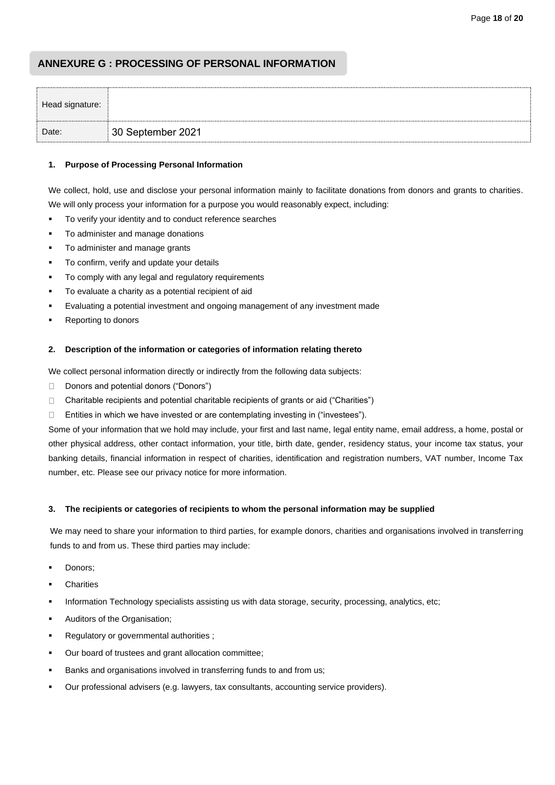# **ANNEXURE G : PROCESSING OF PERSONAL INFORMATION**

| Head signature: |                   |
|-----------------|-------------------|
| Date:           | 30 September 2021 |

### **1. Purpose of Processing Personal Information**

We collect, hold, use and disclose your personal information mainly to facilitate donations from donors and grants to charities. We will only process your information for a purpose you would reasonably expect, including:

- To verify your identity and to conduct reference searches
- To administer and manage donations
- To administer and manage grants
- To confirm, verify and update your details
- To comply with any legal and regulatory requirements
- To evaluate a charity as a potential recipient of aid
- Evaluating a potential investment and ongoing management of any investment made
- Reporting to donors

#### **2. Description of the information or categories of information relating thereto**

We collect personal information directly or indirectly from the following data subjects:

- Donors and potential donors ("Donors")  $\Box$
- Charitable recipients and potential charitable recipients of grants or aid ("Charities")  $\Box$
- Entities in which we have invested or are contemplating investing in ("investees").  $\Box$

Some of your information that we hold may include, your first and last name, legal entity name, email address, a home, postal or other physical address, other contact information, your title, birth date, gender, residency status, your income tax status, your banking details, financial information in respect of charities, identification and registration numbers, VAT number, Income Tax number, etc. Please see our privacy notice for more information.

#### **3. The recipients or categories of recipients to whom the personal information may be supplied**

We may need to share your information to third parties, for example donors, charities and organisations involved in transferring funds to and from us. These third parties may include:

- Donors;
- **Charities**
- Information Technology specialists assisting us with data storage, security, processing, analytics, etc;
- Auditors of the Organisation:
- Regulatory or governmental authorities;
- Our board of trustees and grant allocation committee;
- Banks and organisations involved in transferring funds to and from us;
- Our professional advisers (e.g. lawyers, tax consultants, accounting service providers).